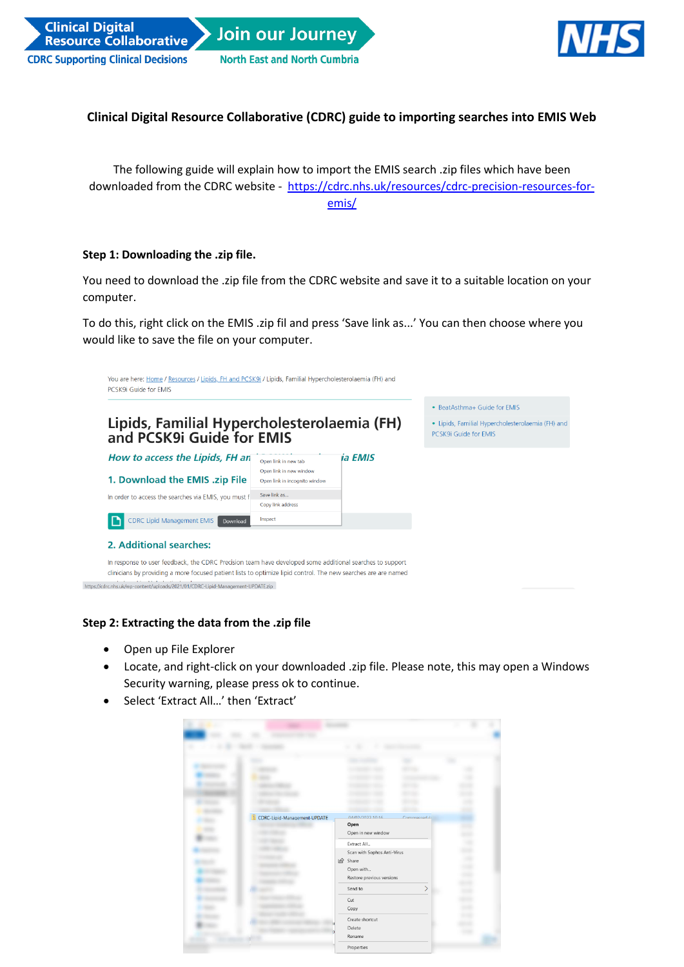



## **Clinical Digital Resource Collaborative (CDRC) guide to importing searches into EMIS Web**

The following guide will explain how to import the EMIS search .zip files which have been downloaded from the CDRC website - [https://cdrc.nhs.uk/resources/cdrc-precision-resources-for](https://cdrc.nhs.uk/resources/cdrc-precision-resources-for-emis/)[emis/](https://cdrc.nhs.uk/resources/cdrc-precision-resources-for-emis/)

## **Step 1: Downloading the .zip file.**

You need to download the .zip file from the CDRC website and save it to a suitable location on your computer.

To do this, right click on the EMIS .zip fil and press 'Save link as...' You can then choose where you would like to save the file on your computer.

|                                                                                                                                                                                                                                                                                                               |                                                                                   |         | • BeatAsthma+ Guide for EMIS |
|---------------------------------------------------------------------------------------------------------------------------------------------------------------------------------------------------------------------------------------------------------------------------------------------------------------|-----------------------------------------------------------------------------------|---------|------------------------------|
| Lipids, Familial Hypercholesterolaemia (FH)<br>and PCSK9i Guide for EMIS                                                                                                                                                                                                                                      | · Lipids, Familial Hypercholesterolaemia (FH) and<br><b>PCSK9i Guide for EMIS</b> |         |                              |
| How to access the Lipids, FH an                                                                                                                                                                                                                                                                               | Open link in new tab                                                              | ia EMIS |                              |
| 1. Download the EMIS .zip File                                                                                                                                                                                                                                                                                | Open link in new window<br>Open link in incognito window                          |         |                              |
| In order to access the searches via EMIS, you must f                                                                                                                                                                                                                                                          | Save link as<br>Copy link address                                                 |         |                              |
| <b>CDRC Lipid Management EMIS</b><br>Download                                                                                                                                                                                                                                                                 | Inspect                                                                           |         |                              |
| 2. Additional searches:                                                                                                                                                                                                                                                                                       |                                                                                   |         |                              |
| In response to user feedback, the CDRC Precision team have developed some additional searches to support<br>clinicians by providing a more focused patient lists to optimize lipid control. The new searches are are named<br>https://cdrc.nhs.uk/wp-content/uploads/2021/01/CDRC-Lipid-Management-UPDATE.zip |                                                                                   |         |                              |

## **Step 2: Extracting the data from the .zip file**

- Open up File Explorer
- Locate, and right-click on your downloaded .zip file. Please note, this may open a Windows Security warning, please press ok to continue.
- Select 'Extract All…' then 'Extract'

| CDRC-Lipid-Management-UPDATE | ALOR COOLORAD<br>Open<br>Open in new window<br>Extract All_<br>Scan with Sophos Anti-Virus<br>$\vec{Q}$<br>Share<br>Open with<br>Restore previous versions<br>Send to<br>Cut<br>Copy<br>Create shortcut<br>Delete<br>Rename<br>Properties | Comarcad / <sub>2</sub><br>↘ | į<br>۰<br>٠<br>٠<br>٠ |  |
|------------------------------|-------------------------------------------------------------------------------------------------------------------------------------------------------------------------------------------------------------------------------------------|------------------------------|-----------------------|--|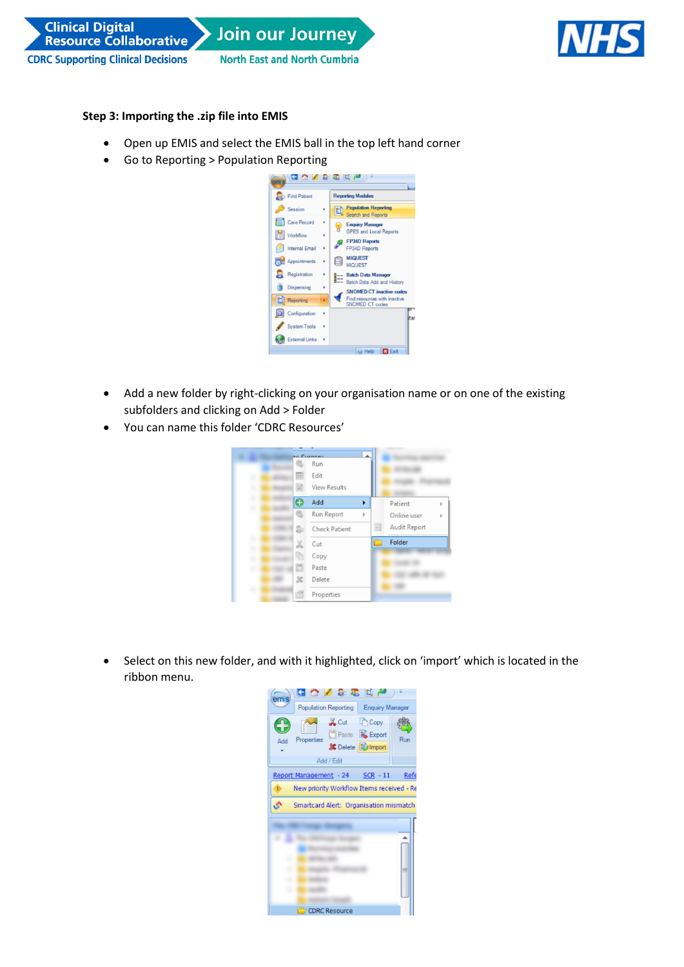



## **Step 3: Importing the .zip file into EMIS**

- Open up EMIS and select the EMIS ball in the top left hand corner
- Go to Reporting > Population Reporting



- Add a new folder by right-clicking on your organisation name or on one of the existing subfolders and clicking on Add > Folder
- You can name this folder 'CDRC Resources'



• Select on this new folder, and with it highlighted, click on 'import' which is located in the ribbon menu.

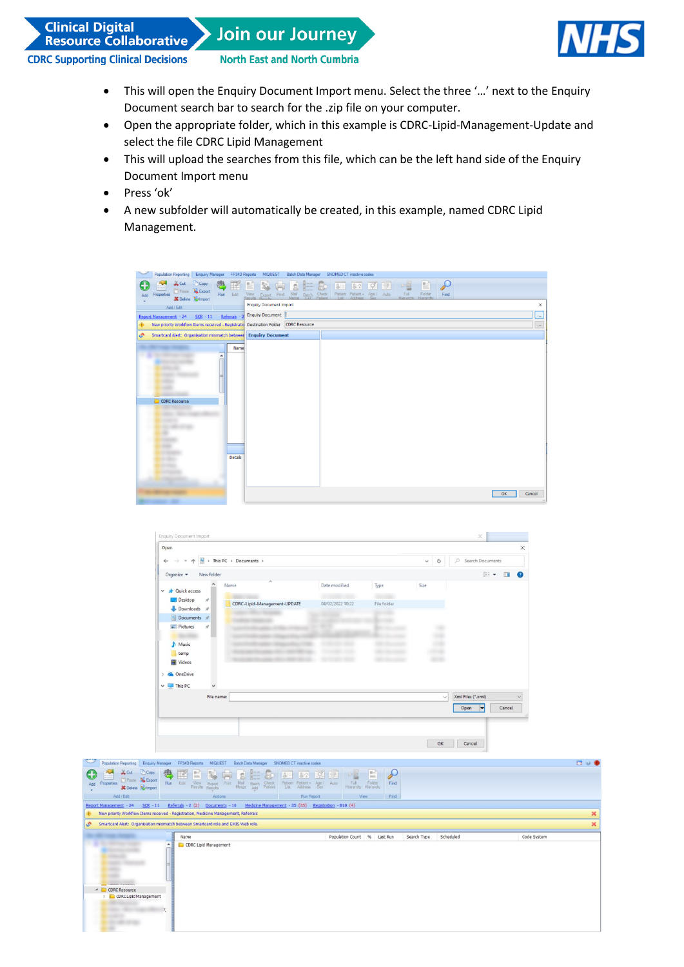**Clinical Digital Resource Collaborative** 

**Join our Journey** 



**CDRC Supporting Clinical Decisions** 

**North East and North Cumbria** 

- This will open the Enquiry Document Import menu. Select the three '…' next to the Enquiry Document search bar to search for the .zip file on your computer.
- Open the appropriate folder, which in this example is CDRC-Lipid-Management-Update and select the file CDRC Lipid Management
- This will upload the searches from this file, which can be the left hand side of the Enquiry Document Import menu
- Press 'ok'
- A new subfolder will automatically be created, in this example, named CDRC Lipid Management.



| $\leftarrow$<br>si Si<br>$\omega$ .<br>个 |            | $\frac{1}{16}$ > This PC > Documents > |                  |             | $\overline{\text{C}}$<br>$\checkmark$ | Search Documents<br>o. |                |
|------------------------------------------|------------|----------------------------------------|------------------|-------------|---------------------------------------|------------------------|----------------|
| Organize -                               | New folder |                                        |                  |             |                                       | $\mathbb{R}$ .         | $\blacksquare$ |
| <b>x</b> Quick access<br>$\checkmark$    |            | $\overline{\phantom{a}}$<br>Name       | Date modified    | Type        | Size                                  |                        |                |
| Desktop<br>Downloads #                   | $\pi$      | CDRC-Lipid-Management-UPDATE           | 04/02/2022 10:22 | File folder |                                       |                        |                |
| Documents #                              |            |                                        |                  |             |                                       |                        |                |
| Pictures                                 | À.         |                                        |                  |             |                                       |                        |                |
| Music<br>ь<br>temp                       |            |                                        |                  |             |                                       |                        |                |
| <b>同</b> Videos                          |            |                                        |                  |             |                                       |                        |                |
| <b>C</b> OneDrive<br>$\mathbf{v}$        |            |                                        |                  |             |                                       |                        |                |
| $\vee$ $\Box$ This PC                    |            |                                        |                  |             |                                       |                        |                |
|                                          | File name: |                                        |                  |             | $\checkmark$                          | Xml Files (*.xml)      | $\checkmark$   |
|                                          |            |                                        |                  |             |                                       | Cancel<br>Open<br> ▼   |                |

|                                                                                                               | Population Reporting Enquiry Manager FP34D Reports MIQUEST<br>Batch Data Manager SNOMED CT inactive codes                                                                                                                                     |                                                                                        | $\Box$      |  |  |  |
|---------------------------------------------------------------------------------------------------------------|-----------------------------------------------------------------------------------------------------------------------------------------------------------------------------------------------------------------------------------------------|----------------------------------------------------------------------------------------|-------------|--|--|--|
| Copy<br>on Cut<br>C<br>Paste & Export<br>Properties.<br>Add<br><b>X</b> Delete <b>Bu</b> Import<br>Add / Edit | $R =$<br>微<br>E<br>Is.<br>腎<br>$0 = 82$ $0 = 64$<br>Fis<br>80<br>Edit<br>View Export<br>Results Results<br>Patient Patient + Age / Auto<br>List Address Sex<br>Run<br>Mail Batch Check<br>Merge Add Patient<br>Print<br>Actions<br>Run Report | 自<br>$\rightarrow$<br>『昌<br>Full Folder<br>Hierarchy Hierarchy<br>Find<br>Find<br>View |             |  |  |  |
| Report Management - 24<br>$SCR - 11$                                                                          | Referrals - 2 (2) Documents - 10 Medicine Management - 35 (35) Registration - 810 (4)                                                                                                                                                         |                                                                                        |             |  |  |  |
|                                                                                                               | New priority Workflow Items received - Registration, Medicine Management, Referrals                                                                                                                                                           |                                                                                        |             |  |  |  |
| o.                                                                                                            | Smartcard Alert: Organisation mismatch between Smartcard role and EMIS Web role.<br>×                                                                                                                                                         |                                                                                        |             |  |  |  |
|                                                                                                               | Name                                                                                                                                                                                                                                          | Population Count % Last Run<br>Search Type<br>Scheduled                                | Code System |  |  |  |
| E<br>4 CDRC Resource<br><b>CDRC Lipid Management</b><br>p.                                                    | <b>CDRC</b> Lipid Management                                                                                                                                                                                                                  |                                                                                        |             |  |  |  |